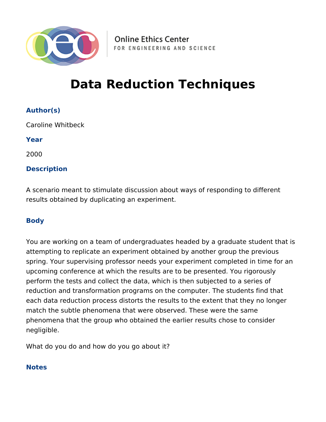

**Online Ethics Center** FOR ENGINEERING AND SCIENCE

# **Data Reduction Techniques**

**Author(s)**

Caroline Whitbeck

**Year**

2000

# **Description**

A scenario meant to stimulate discussion about ways of responding to different results obtained by duplicating an experiment.

## **Body**

You are working on a team of undergraduates headed by a graduate student that is attempting to replicate an experiment obtained by another group the previous spring. Your supervising professor needs your experiment completed in time for an upcoming conference at which the results are to be presented. You rigorously perform the tests and collect the data, which is then subjected to a series of reduction and transformation programs on the computer. The students find that each data reduction process distorts the results to the extent that they no longer match the subtle phenomena that were observed. These were the same phenomena that the group who obtained the earlier results chose to consider negligible.

What do you do and how do you go about it?

## **Notes**